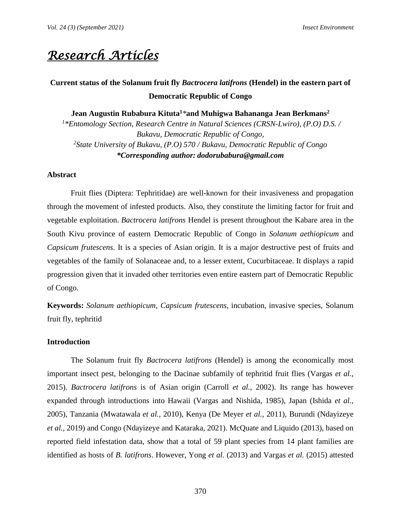# *Research Articles*

# **Current status of the Solanum fruit fly** *Bactrocera latifrons* **(Hendel) in the eastern part of Democratic Republic of Congo**

**Jean Augustin Rubabura Kituta<sup>1</sup>***\****and Muhigwa Bahananga Jean Berkmans<sup>2</sup>** *1 \*Entomology Section, Research Centre in Natural Sciences (CRSN-Lwiro), (P.O) D.S. / Bukavu, Democratic Republic of Congo, 2 State University of Bukavu, (P.O) 570 / Bukavu, Democratic Republic of Congo \*Corresponding author: dodorubabura@gmail.com*

### **Abstract**

Fruit flies (Diptera: Tephritidae) are well-known for their invasiveness and propagation through the movement of infested products. Also, they constitute the limiting factor for fruit and vegetable exploitation. *Bactrocera latifrons* Hendel is present throughout the Kabare area in the South Kivu province of eastern Democratic Republic of Congo in *Solanum aethiopicum* and *Capsicum frutescens.* It is a species of Asian origin. It is a major destructive pest of fruits and vegetables of the family of Solanaceae and, to a lesser extent, Cucurbitaceae. It displays a rapid progression given that it invaded other territories even entire eastern part of Democratic Republic of Congo.

**Keywords:** *Solanum aethiopicum*, *Capsicum frutescens*, incubation, invasive species, Solanum fruit fly, tephritid

#### **Introduction**

The Solanum fruit fly *Bactrocera latifrons* (Hendel) is among the economically most important insect pest, belonging to the Dacinae subfamily of tephritid fruit flies (Vargas *et al.,* 2015). *Bactrocera latifrons* is of Asian origin (Carroll *et al.,* 2002). Its range has however expanded through introductions into Hawaii (Vargas and Nishida, 1985), Japan (Ishida *et al.,* 2005), Tanzania (Mwatawala *et al.,* 2010), Kenya (De Meyer *et al.,* 2011), Burundi (Ndayizeye *et al.,* 2019) and Congo (Ndayizeye and Kataraka, 2021). McQuate and Liquido (2013), based on reported field infestation data, show that a total of 59 plant species from 14 plant families are identified as hosts of *B. latifrons*. However, Yong *et al.* (2013) and Vargas *et al.* (2015) attested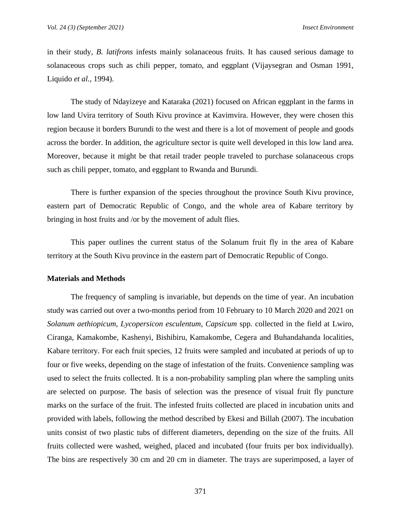in their study, *B. latifrons* infests mainly solanaceous fruits. It has caused serious damage to solanaceous crops such as chili pepper, tomato, and eggplant (Vijaysegran and Osman 1991, Liquido *et al.*, 1994).

The study of Ndayizeye and Kataraka (2021) focused on African eggplant in the farms in low land Uvira territory of South Kivu province at Kavimvira. However, they were chosen this region because it borders Burundi to the west and there is a lot of movement of people and goods across the border. In addition, the agriculture sector is quite well developed in this low land area. Moreover, because it might be that retail trader people traveled to purchase solanaceous crops such as chili pepper, tomato, and eggplant to Rwanda and Burundi.

There is further expansion of the species throughout the province South Kivu province, eastern part of Democratic Republic of Congo, and the whole area of Kabare territory by bringing in host fruits and /or by the movement of adult flies.

This paper outlines the current status of the Solanum fruit fly in the area of Kabare territory at the South Kivu province in the eastern part of Democratic Republic of Congo.

#### **Materials and Methods**

The frequency of sampling is invariable, but depends on the time of year. An incubation study was carried out over a two-months period from 10 February to 10 March 2020 and 2021 on *Solanum aethiopicum, Lycopersicon esculentum, Capsicum* spp. collected in the field at Lwiro, Ciranga, Kamakombe, Kashenyi, Bishibiru, Kamakombe, Cegera and Buhandahanda localities, Kabare territory. For each fruit species, 12 fruits were sampled and incubated at periods of up to four or five weeks, depending on the stage of infestation of the fruits. Convenience sampling was used to select the fruits collected. It is a non-probability sampling plan where the sampling units are selected on purpose. The basis of selection was the presence of visual fruit fly puncture marks on the surface of the fruit. The infested fruits collected are placed in incubation units and provided with labels, following the method described by Ekesi and Billah (2007). The incubation units consist of two plastic tubs of different diameters, depending on the size of the fruits. All fruits collected were washed, weighed, placed and incubated (four fruits per box individually). The bins are respectively 30 cm and 20 cm in diameter. The trays are superimposed, a layer of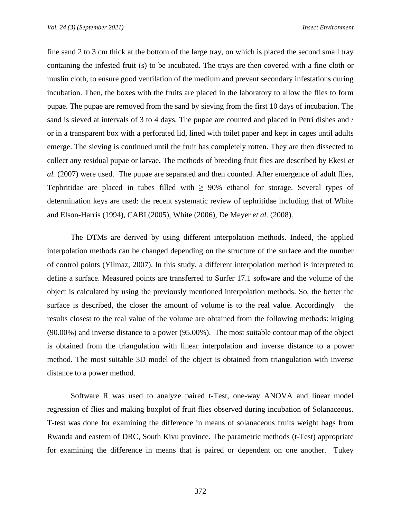fine sand 2 to 3 cm thick at the bottom of the large tray, on which is placed the second small tray containing the infested fruit (s) to be incubated. The trays are then covered with a fine cloth or muslin cloth, to ensure good ventilation of the medium and prevent secondary infestations during incubation. Then, the boxes with the fruits are placed in the laboratory to allow the flies to form pupae. The pupae are removed from the sand by sieving from the first 10 days of incubation. The sand is sieved at intervals of 3 to 4 days. The pupae are counted and placed in Petri dishes and / or in a transparent box with a perforated lid, lined with toilet paper and kept in cages until adults emerge. The sieving is continued until the fruit has completely rotten. They are then dissected to collect any residual pupae or larvae. The methods of breeding fruit flies are described by Ekesi *et al.* (2007) were used. The pupae are separated and then counted. After emergence of adult flies, Tephritidae are placed in tubes filled with  $\geq 90\%$  ethanol for storage. Several types of determination keys are used: the recent systematic review of tephritidae including that of White and Elson-Harris (1994), CABI (2005), White (2006), De Meyer *et al.* (2008).

The DTMs are derived by using different interpolation methods. Indeed, the applied interpolation methods can be changed depending on the structure of the surface and the number of control points (Yilmaz, 2007). In this study, a different interpolation method is interpreted to define a surface. Measured points are transferred to Surfer 17.1 software and the volume of the object is calculated by using the previously mentioned interpolation methods. So, the better the surface is described, the closer the amount of volume is to the real value. Accordingly the results closest to the real value of the volume are obtained from the following methods: kriging (90.00%) and inverse distance to a power (95.00%). The most suitable contour map of the object is obtained from the triangulation with linear interpolation and inverse distance to a power method. The most suitable 3D model of the object is obtained from triangulation with inverse distance to a power method.

Software R was used to analyze paired t-Test, one-way ANOVA and linear model regression of flies and making boxplot of fruit flies observed during incubation of Solanaceous. T-test was done for examining the difference in means of solanaceous fruits weight bags from Rwanda and eastern of DRC, South Kivu province. The parametric methods (t-Test) appropriate for examining the difference in means that is paired or dependent on one another. Tukey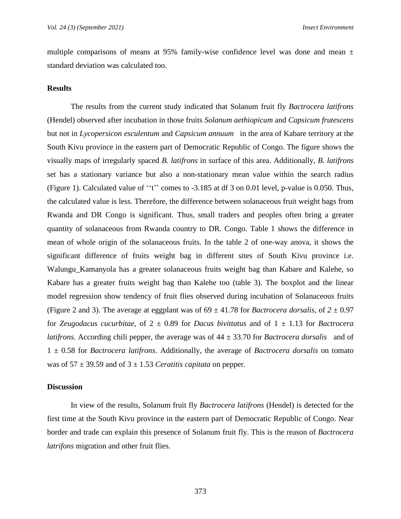multiple comparisons of means at 95% family-wise confidence level was done and mean  $\pm$ standard deviation was calculated too.

#### **Results**

The results from the current study indicated that Solanum fruit fly *Bactrocera latifrons* (Hendel) observed after incubation in those fruits *Solanum aethiopicum* and *Capsicum frutescens* but not in *Lycopersicon esculentum* and *Capsicum annuum* in the area of Kabare territory at the South Kivu province in the eastern part of Democratic Republic of Congo. The figure shows the visually maps of irregularly spaced *B. latifrons* in surface of this area. Additionally, *B. latifrons* set has a stationary variance but also a non-stationary mean value within the search radius (Figure 1). Calculated value of ''t'' comes to -3.185 at df 3 on 0.01 level, p-value is 0.050. Thus, the calculated value is less. Therefore, the difference between solanaceous fruit weight bags from Rwanda and DR Congo is significant. Thus, small traders and peoples often bring a greater quantity of solanaceous from Rwanda country to DR. Congo. Table 1 shows the difference in mean of whole origin of the solanaceous fruits. In the table 2 of one-way anova, it shows the significant difference of fruits weight bag in different sites of South Kivu province i.e. Walungu\_Kamanyola has a greater solanaceous fruits weight bag than Kabare and Kalehe, so Kabare has a greater fruits weight bag than Kalehe too (table 3). The boxplot and the linear model regression show tendency of fruit flies observed during incubation of Solanaceous fruits (Figure 2 and 3). The average at eggplant was of  $69 \pm 41.78$  for *Bactrocera dorsalis*, of  $2 \pm 0.97$ for *Zeugodacus cucurbitae*, of 2 ± 0.89 for *Dacus bivittatus* and of 1 ± 1.13 for *Bactrocera latifrons.* According chili pepper, the average was of  $44 \pm 33.70$  for *Bactrocera dorsalis* and of 1 ± 0.58 for *Bactrocera latifrons*. Additionally, the average of *Bactrocera dorsalis* on tomato was of  $57 \pm 39.59$  and of  $3 \pm 1.53$  *Ceratitis capitata* on pepper.

#### **Discussion**

In view of the results, Solanum fruit fly *Bactrocera latifrons* (Hendel) is detected for the first time at the South Kivu province in the eastern part of Democratic Republic of Congo. Near border and trade can explain this presence of Solanum fruit fly. This is the reason of *Bactrocera latrifons* migration and other fruit flies.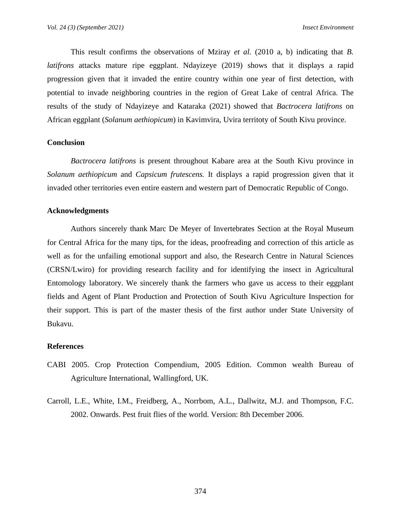This result confirms the observations of Mziray *et al.* (2010 a, b) indicating that *B. latifrons* attacks mature ripe eggplant. Ndayizeye (2019) shows that it displays a rapid progression given that it invaded the entire country within one year of first detection, with potential to invade neighboring countries in the region of Great Lake of central Africa. The results of the study of Ndayizeye and Kataraka (2021) showed that *Bactrocera latifrons* on African eggplant (*Solanum aethiopicum*) in Kavimvira, Uvira territoty of South Kivu province.

#### **Conclusion**

*Bactrocera latifrons* is present throughout Kabare area at the South Kivu province in *Solanum aethiopicum* and *Capsicum frutescens.* It displays a rapid progression given that it invaded other territories even entire eastern and western part of Democratic Republic of Congo.

#### **Acknowledgments**

Authors sincerely thank Marc De Meyer of Invertebrates Section at the Royal Museum for Central Africa for the many tips, for the ideas, proofreading and correction of this article as well as for the unfailing emotional support and also, the Research Centre in Natural Sciences (CRSN/Lwiro) for providing research facility and for identifying the insect in Agricultural Entomology laboratory. We sincerely thank the farmers who gave us access to their eggplant fields and Agent of Plant Production and Protection of South Kivu Agriculture Inspection for their support. This is part of the master thesis of the first author under State University of Bukavu.

#### **References**

- CABI 2005. Crop Protection Compendium, 2005 Edition. Common wealth Bureau of Agriculture International, Wallingford, UK.
- Carroll, L.E., White, I.M., Freidberg, A., Norrbom, A.L., Dallwitz, M.J. and Thompson, F.C. 2002. Onwards. Pest fruit flies of the world. Version: 8th December 2006.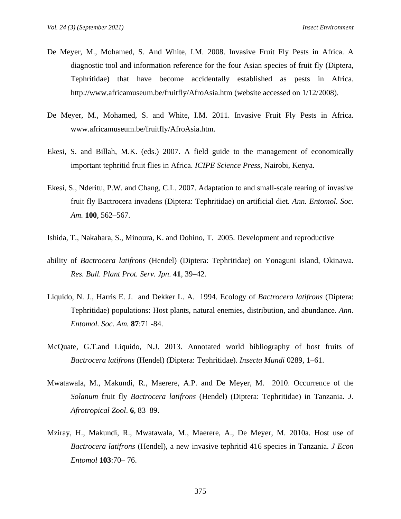- De Meyer, M., Mohamed, S. And White, I.M. 2008. Invasive Fruit Fly Pests in Africa. A diagnostic tool and information reference for the four Asian species of fruit fly (Diptera, Tephritidae) that have become accidentally established as pests in Africa. http://www.africamuseum.be/fruitfly/AfroAsia.htm (website accessed on 1/12/2008).
- De Meyer, M., Mohamed, S. and White, I.M. 2011. Invasive Fruit Fly Pests in Africa. www.africamuseum.be/fruitfly/AfroAsia.htm.
- Ekesi, S. and Billah, M.K. (eds.) 2007. A field guide to the management of economically important tephritid fruit flies in Africa. *ICIPE Science Press*, Nairobi, Kenya.
- Ekesi, S., Nderitu, P.W. and Chang, C.L. 2007. Adaptation to and small-scale rearing of invasive fruit fly Bactrocera invadens (Diptera: Tephritidae) on artificial diet. *Ann. Entomol. Soc. Am.* **100**, 562–567.
- Ishida, T., Nakahara, S., Minoura, K. and Dohino, T. 2005. Development and reproductive
- ability of *Bactrocera latifrons* (Hendel) (Diptera: Tephritidae) on Yonaguni island, Okinawa. *Res. Bull. Plant Prot. Serv. Jpn*. **41**, 39–42.
- Liquido, N. J., Harris E. J. and Dekker L. A. 1994. Ecology of *Bactrocera latifrons* (Diptera: Tephritidae) populations: Host plants, natural enemies, distribution, and abundance. *Ann. Entomol. Soc. Am.* **87**:71 -84.
- McQuate, G.T.and Liquido, N.J. 2013. Annotated world bibliography of host fruits of *Bactrocera latifrons* (Hendel) (Diptera: Tephritidae). *Insecta Mundi* 0289, 1–61.
- Mwatawala, M., Makundi, R., Maerere, A.P. and De Meyer, M. 2010. Occurrence of the *Solanum* fruit fly *Bactrocera latifrons* (Hendel) (Diptera: Tephritidae) in Tanzania*. J. Afrotropical Zool*. **6**, 83–89.
- Mziray, H., Makundi, R., Mwatawala, M., Maerere, A., De Meyer, M. 2010a. Host use of *Bactrocera latifrons* (Hendel), a new invasive tephritid 416 species in Tanzania. *J Econ Entomol* **103**:70– 76.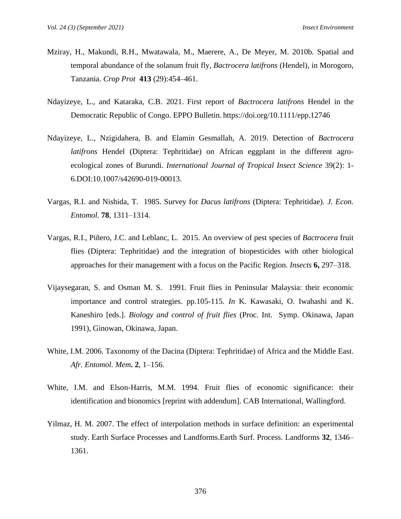- Mziray, H., Makundi, R.H., Mwatawala, M., Maerere, A., De Meyer, M. 2010b. Spatial and temporal abundance of the solanum fruit fly, *Bactrocera latifrons* (Hendel), in Morogoro, Tanzania. *Crop Prot* **413** (29):454–461.
- Ndayizeye, L., and Kataraka, C.B. 2021. First report of *Bactrocera latifrons* Hendel in the Democratic Republic of Congo. EPPO Bulletin. https://doi.org/10.1111/epp.12746
- Ndayizeye, L., Nzigidahera, B. and Elamin Gesmallah, A. 2019. Detection of *Bactrocera latifrons* Hendel (Diptera: Tephritidae) on African eggplant in the different agroecological zones of Burundi. *International Journal of Tropical Insect Science* 39(2): 1- 6.DOI:10.1007/s42690-019-00013.
- Vargas, R.I. and Nishida, T. 1985. Survey for *Dacus latifrons* (Diptera: Tephritidae). *J. Econ. Entomol.* **78**, 1311–1314.
- Vargas, R.I., Piñero, J.C. and Leblanc, L. 2015. An overview of pest species of *Bactrocera* fruit flies (Diptera: Tephritidae) and the integration of biopesticides with other biological approaches for their management with a focus on the Pacific Region. *Insects* **6,** 297–318.
- Vijaysegaran, S. and Osman M. S. 1991. Fruit flies in Peninsular Malaysia: their economic importance and control strategies. pp.105-115. *In* K. Kawasaki, O. Iwahashi and K. Kaneshiro [eds.]. *Biology and control of fruit flies* (Proc. Int. Symp. Okinawa, Japan 1991), Ginowan, Okinawa, Japan.
- White, I.M. 2006. Taxonomy of the Dacina (Diptera: Tephritidae) of Africa and the Middle East. *Afr. Entomol. Mem***. 2**, 1–156.
- White, I.M. and Elson-Harris, M.M. 1994. Fruit flies of economic significance: their identification and bionomics [reprint with addendum]. CAB International, Wallingford.
- Yilmaz, H. M. 2007. The effect of interpolation methods in surface definition: an experimental study. Earth Surface Processes and Landforms.Earth Surf. Process. Landforms **32**, 1346– 1361.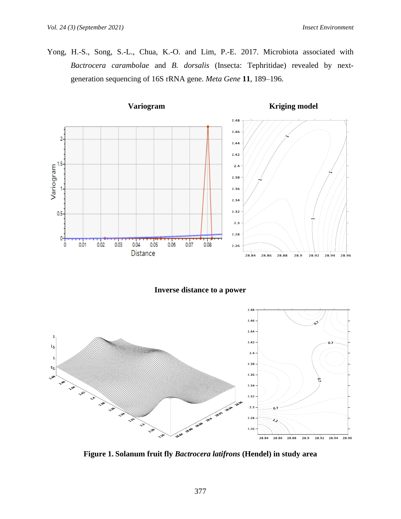Yong, H.-S., Song, S.-L., Chua, K.-O. and Lim, P.-E. 2017. Microbiota associated with *Bactrocera carambolae* and *B. dorsalis* (Insecta: Tephritidae) revealed by nextgeneration sequencing of 16S rRNA gene. *Meta Gene* **11**, 189–196.



**Inverse distance to a power**



**Figure 1. Solanum fruit fly** *Bactrocera latifrons* **(Hendel) in study area**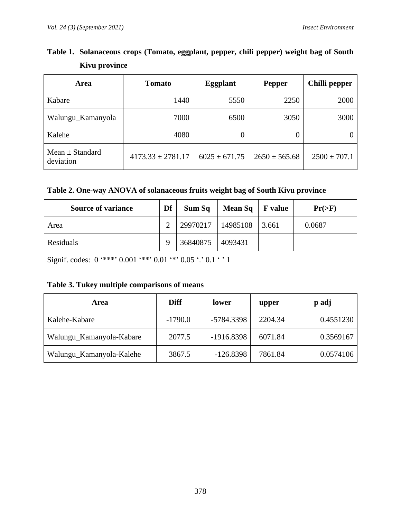| Area                             | Tomato                | <b>Eggplant</b>   | <b>Pepper</b>     | Chilli pepper    |  |
|----------------------------------|-----------------------|-------------------|-------------------|------------------|--|
| Kabare                           | 1440                  | 5550              | 2250              | 2000             |  |
| Walungu_Kamanyola                | 7000                  | 6500              | 3050              | 3000             |  |
| Kalehe                           | 4080                  |                   | O                 |                  |  |
| Mean $\pm$ Standard<br>deviation | $4173.33 \pm 2781.17$ | $6025 \pm 671.75$ | $2650 \pm 565.68$ | $2500 \pm 707.1$ |  |

**Table 1. Solanaceous crops (Tomato, eggplant, pepper, chili pepper) weight bag of South Kivu province**

|  |  |  | Table 2. One-way ANOVA of solanaceous fruits weight bag of South Kivu province |
|--|--|--|--------------------------------------------------------------------------------|
|  |  |  |                                                                                |

| <b>Source of variance</b> | Df | Sum Sq   | Mean $Sq$   F value |       | $Pr(>=F)$ |
|---------------------------|----|----------|---------------------|-------|-----------|
| Area                      |    | 29970217 | 14985108            | 3.661 | 0.0687    |
| Residuals                 |    | 36840875 | 4093431             |       |           |

Signif. codes:  $0$  '\*\*\*'  $0.001$  '\*\*'  $0.01$  '\*'  $0.05$  '.'  $0.1$  ' ' 1

# **Table 3. Tukey multiple comparisons of means**

| Area                     | <b>Diff</b> | lower        | upper   | p adj     |
|--------------------------|-------------|--------------|---------|-----------|
| Kalehe-Kabare            | $-1790.0$   | -5784.3398   | 2204.34 | 0.4551230 |
| Walungu_Kamanyola-Kabare | 2077.5      | $-1916.8398$ | 6071.84 | 0.3569167 |
| Walungu_Kamanyola-Kalehe | 3867.5      | $-126.8398$  | 7861.84 | 0.0574106 |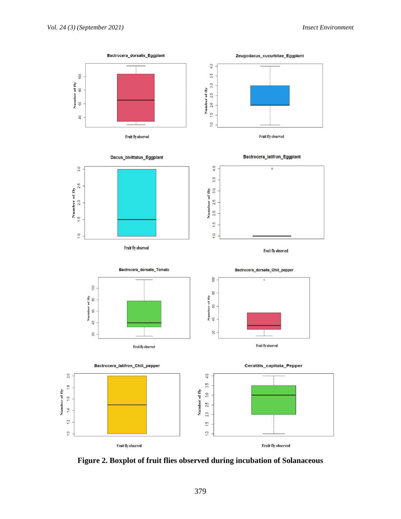

**Figure 2. Boxplot of fruit flies observed during incubation of Solanaceous**